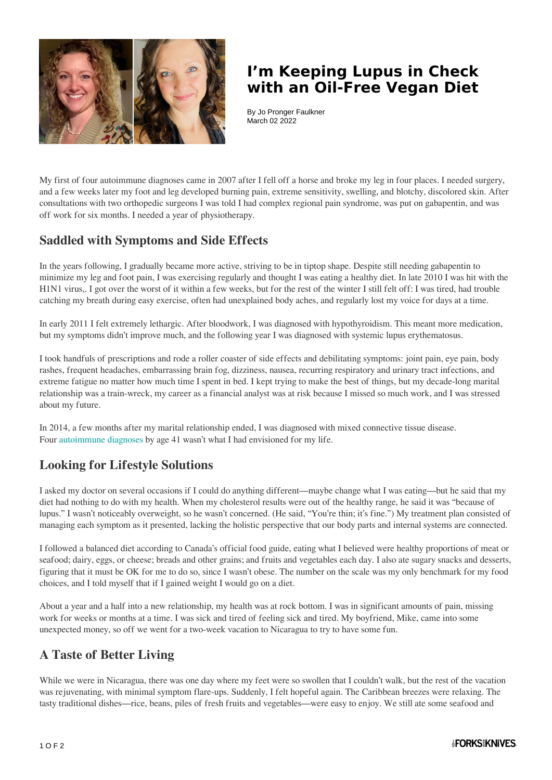

## **I'm Keeping Lupus in Check with an Oil-Free Vegan Diet**

By Jo Pronger Faulkner March 02 2022

My first of four autoimmune diagnoses came in 2007 after I fell off a horse and broke my leg in four places. I needed surgery, and a few weeks later my foot and leg developed burning pain, extreme sensitivity, swelling, and blotchy, discolored skin. After consultations with two orthopedic surgeons I was told I had complex regional pain syndrome, was put on gabapentin, and was off work for six months. I needed a year of physiotherapy.

#### **Saddled with Symptoms and Side Effects**

In the years following, I gradually became more active, striving to be in tiptop shape. Despite still needing gabapentin to minimize my leg and foot pain, I was exercising regularly and thought I was eating a healthy diet. In late 2010 I was hit with the H1N1 virus,. I got over the worst of it within a few weeks, but for the rest of the winter I still felt off: I was tired, had trouble catching my breath during easy exercise, often had unexplained body aches, and regularly lost my voice for days at a time.

In early 2011 I felt extremely lethargic. After bloodwork, I was diagnosed with hypothyroidism. This meant more medication, but my symptoms didn't improve much, and the following year I was diagnosed with systemic lupus erythematosus.

I took handfuls of prescriptions and rode a roller coaster of side effects and debilitating symptoms: joint pain, eye pain, body rashes, frequent headaches, embarrassing brain fog, dizziness, nausea, recurring respiratory and urinary tract infections, and extreme fatigue no matter how much time I spent in bed. I kept trying to make the best of things, but my decade-long marital relationship was a train-wreck, my career as a financial analyst was at risk because I missed so much work, and I was stressed about my future.

In 2014, a few months after my marital relationship ended, I was diagnosed with mixed connective tissue disease. Four [autoimmune diagnoses](https://www.forksoverknives.com/tag/autoimmune-disease/) by age 41 wasn't what I had envisioned for my life.

### **Looking for Lifestyle Solutions**

I asked my doctor on several occasions if I could do anything different—maybe change what I was eating—but he said that my diet had nothing to do with my health. When my cholesterol results were out of the healthy range, he said it was "because of lupus." I wasn't noticeably overweight, so he wasn't concerned. (He said, "You're thin; it's fine.") My treatment plan consisted of managing each symptom as it presented, lacking the holistic perspective that our body parts and internal systems are connected.

I followed a balanced diet according to Canada's official food guide, eating what I believed were healthy proportions of meat or seafood; dairy, eggs, or cheese; breads and other grains; and fruits and vegetables each day. I also ate sugary snacks and desserts, figuring that it must be OK for me to do so, since I wasn't obese. The number on the scale was my only benchmark for my food choices, and I told myself that if I gained weight I would go on a diet.

About a year and a half into a new relationship, my health was at rock bottom. I was in significant amounts of pain, missing work for weeks or months at a time. I was sick and tired of feeling sick and tired. My boyfriend, Mike, came into some unexpected money, so off we went for a two-week vacation to Nicaragua to try to have some fun.

### **A Taste of Better Living**

While we were in Nicaragua, there was one day where my feet were so swollen that I couldn't walk, but the rest of the vacation was rejuvenating, with minimal symptom flare-ups. Suddenly, I felt hopeful again. The Caribbean breezes were relaxing. The tasty traditional dishes—rice, beans, piles of fresh fruits and vegetables—were easy to enjoy. We still ate some seafood and